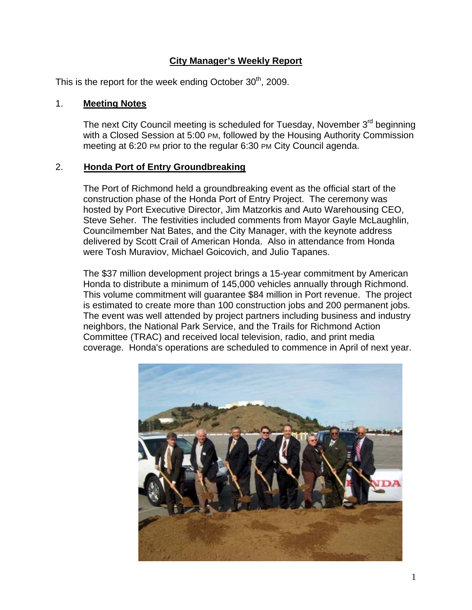# **City Manager's Weekly Report**

This is the report for the week ending October  $30<sup>th</sup>$ , 2009.

#### 1. **Meeting Notes**

The next City Council meeting is scheduled for Tuesday, November 3<sup>rd</sup> beginning with a Closed Session at 5:00 PM, followed by the Housing Authority Commission meeting at 6:20 PM prior to the regular 6:30 PM City Council agenda.

#### 2. **Honda Port of Entry Groundbreaking**

The Port of Richmond held a groundbreaking event as the official start of the construction phase of the Honda Port of Entry Project. The ceremony was hosted by Port Executive Director, Jim Matzorkis and Auto Warehousing CEO, Steve Seher. The festivities included comments from Mayor Gayle McLaughlin, Councilmember Nat Bates, and the City Manager, with the keynote address delivered by Scott Crail of American Honda. Also in attendance from Honda were Tosh Muraviov, Michael Goicovich, and Julio Tapanes.

The \$37 million development project brings a 15-year commitment by American Honda to distribute a minimum of 145,000 vehicles annually through Richmond. This volume commitment will guarantee \$84 million in Port revenue. The project is estimated to create more than 100 construction jobs and 200 permanent jobs. The event was well attended by project partners including business and industry neighbors, the National Park Service, and the Trails for Richmond Action Committee (TRAC) and received local television, radio, and print media coverage. Honda's operations are scheduled to commence in April of next year.

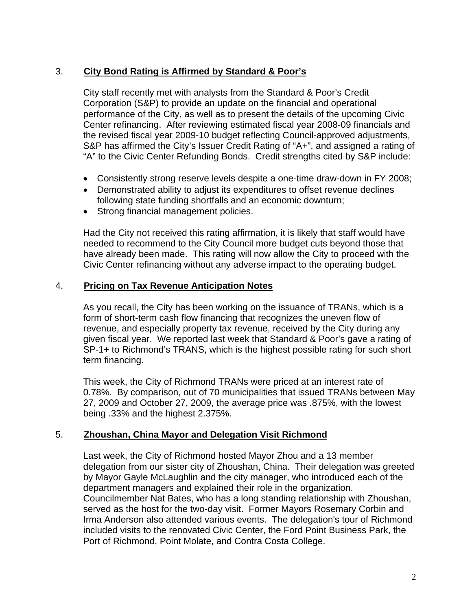# 3. **City Bond Rating is Affirmed by Standard & Poor's**

City staff recently met with analysts from the Standard & Poor's Credit Corporation (S&P) to provide an update on the financial and operational performance of the City, as well as to present the details of the upcoming Civic Center refinancing. After reviewing estimated fiscal year 2008-09 financials and the revised fiscal year 2009-10 budget reflecting Council-approved adjustments, S&P has affirmed the City's Issuer Credit Rating of "A+", and assigned a rating of "A" to the Civic Center Refunding Bonds. Credit strengths cited by S&P include:

- Consistently strong reserve levels despite a one-time draw-down in FY 2008;
- Demonstrated ability to adjust its expenditures to offset revenue declines following state funding shortfalls and an economic downturn;
- Strong financial management policies.

Had the City not received this rating affirmation, it is likely that staff would have needed to recommend to the City Council more budget cuts beyond those that have already been made. This rating will now allow the City to proceed with the Civic Center refinancing without any adverse impact to the operating budget.

### 4. **Pricing on Tax Revenue Anticipation Notes**

As you recall, the City has been working on the issuance of TRANs, which is a form of short-term cash flow financing that recognizes the uneven flow of revenue, and especially property tax revenue, received by the City during any given fiscal year. We reported last week that Standard & Poor's gave a rating of SP-1+ to Richmond's TRANS, which is the highest possible rating for such short term financing.

This week, the City of Richmond TRANs were priced at an interest rate of 0.78%. By comparison, out of 70 municipalities that issued TRANs between May 27, 2009 and October 27, 2009, the average price was .875%, with the lowest being .33% and the highest 2.375%.

#### 5. **Zhoushan, China Mayor and Delegation Visit Richmond**

Last week, the City of Richmond hosted Mayor Zhou and a 13 member delegation from our sister city of Zhoushan, China. Their delegation was greeted by Mayor Gayle McLaughlin and the city manager, who introduced each of the department managers and explained their role in the organization. Councilmember Nat Bates, who has a long standing relationship with Zhoushan, served as the host for the two-day visit. Former Mayors Rosemary Corbin and Irma Anderson also attended various events. The delegation's tour of Richmond included visits to the renovated Civic Center, the Ford Point Business Park, the Port of Richmond, Point Molate, and Contra Costa College.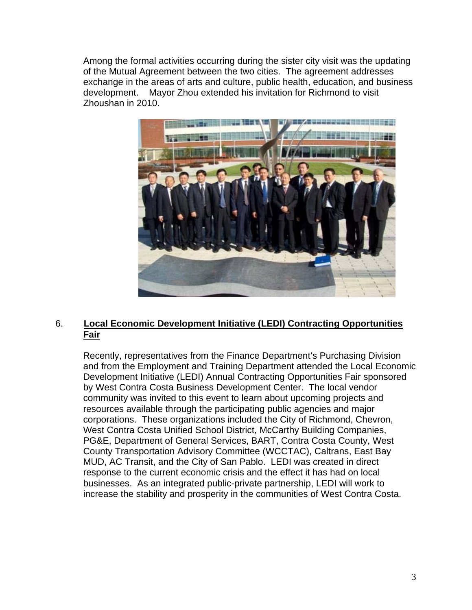Among the formal activities occurring during the sister city visit was the updating of the Mutual Agreement between the two cities. The agreement addresses exchange in the areas of arts and culture, public health, education, and business development. Mayor Zhou extended his invitation for Richmond to visit Zhoushan in 2010.



# 6. **Local Economic Development Initiative (LEDI) Contracting Opportunities Fair**

Recently, representatives from the Finance Department's Purchasing Division and from the Employment and Training Department attended the Local Economic Development Initiative (LEDI) Annual Contracting Opportunities Fair sponsored by West Contra Costa Business Development Center. The local vendor community was invited to this event to learn about upcoming projects and resources available through the participating public agencies and major corporations. These organizations included the City of Richmond, Chevron, West Contra Costa Unified School District, McCarthy Building Companies, PG&E, Department of General Services, BART, Contra Costa County, West County Transportation Advisory Committee (WCCTAC), Caltrans, East Bay MUD, AC Transit, and the City of San Pablo. LEDI was created in direct response to the current economic crisis and the effect it has had on local businesses. As an integrated public-private partnership, LEDI will work to increase the stability and prosperity in the communities of West Contra Costa.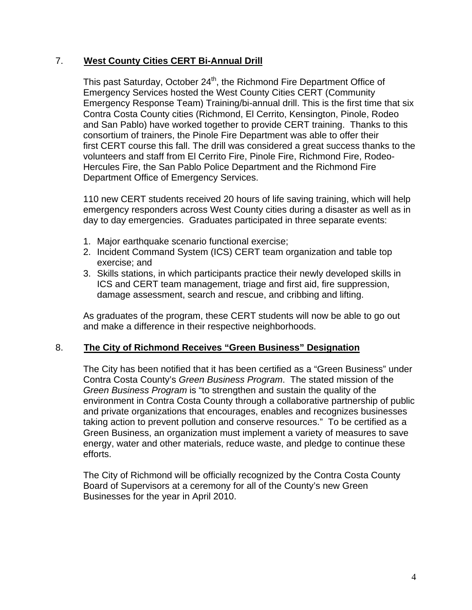### 7. **West County Cities CERT Bi-Annual Drill**

This past Saturday, October 24<sup>th</sup>, the Richmond Fire Department Office of Emergency Services hosted the West County Cities CERT (Community Emergency Response Team) Training/bi-annual drill. This is the first time that six Contra Costa County cities (Richmond, El Cerrito, Kensington, Pinole, Rodeo and San Pablo) have worked together to provide CERT training. Thanks to this consortium of trainers, the Pinole Fire Department was able to offer their first CERT course this fall. The drill was considered a great success thanks to the volunteers and staff from El Cerrito Fire, Pinole Fire, Richmond Fire, Rodeo-Hercules Fire, the San Pablo Police Department and the Richmond Fire Department Office of Emergency Services.

110 new CERT students received 20 hours of life saving training, which will help emergency responders across West County cities during a disaster as well as in day to day emergencies. Graduates participated in three separate events:

- 1. Major earthquake scenario functional exercise;
- 2. Incident Command System (ICS) CERT team organization and table top exercise; and
- 3. Skills stations, in which participants practice their newly developed skills in ICS and CERT team management, triage and first aid, fire suppression, damage assessment, search and rescue, and cribbing and lifting.

As graduates of the program, these CERT students will now be able to go out and make a difference in their respective neighborhoods.

# 8. **The City of Richmond Receives "Green Business" Designation**

The City has been notified that it has been certified as a "Green Business" under Contra Costa County's *Green Business Program*. The stated mission of the *Green Business Program* is "to strengthen and sustain the quality of the environment in Contra Costa County through a collaborative partnership of public and private organizations that encourages, enables and recognizes businesses taking action to prevent pollution and conserve resources." To be certified as a Green Business, an organization must implement a variety of measures to save energy, water and other materials, reduce waste, and pledge to continue these efforts.

The City of Richmond will be officially recognized by the Contra Costa County Board of Supervisors at a ceremony for all of the County's new Green Businesses for the year in April 2010.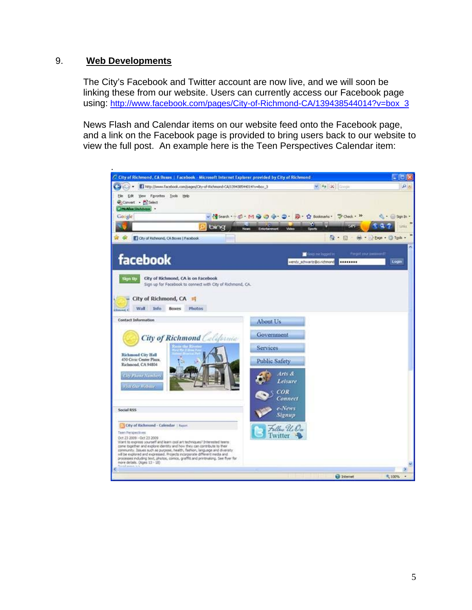#### 9. **Web Developments**

The City's Facebook and Twitter account are now live, and we will soon be linking these from our website. Users can currently access our Facebook page using: [http://www.facebook.com/pages/City-of-Richmond-CA/139438544014?v=box\\_3](http://www.facebook.com/pages/City-of-Richmond-CA/139438544014?v=box_3)

News Flash and Calendar items on our website feed onto the Facebook page, and a link on the Facebook page is provided to bring users back to our website to view the full post. An example here is the Teen Perspectives Calendar item: